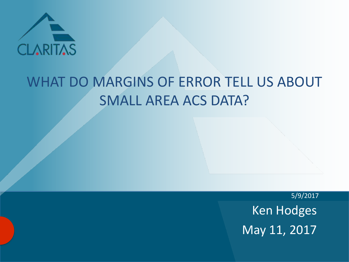

### WHAT DO MARGINS OF ERROR TELL US ABOUT SMALL AREA ACS DATA?

5/9/2017 Ken Hodges May 11, 2017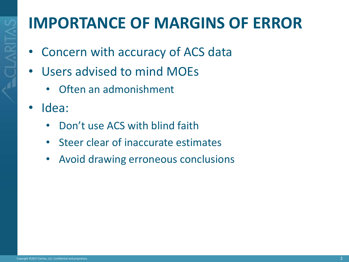# **IMPORTANCE OF MARGINS OF ERROR**

- Concern with accuracy of ACS data
- Users advised to mind MOEs
	- Often an admonishment
- Idea:
	- Don't use ACS with blind faith
	- Steer clear of inaccurate estimates
	- Avoid drawing erroneous conclusions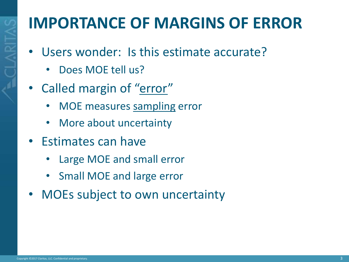# **IMPORTANCE OF MARGINS OF ERROR**

- Users wonder: Is this estimate accurate?
	- Does MOE tell us?
- Called margin of "error"
	- MOE measures sampling error
	- More about uncertainty
- Estimates can have
	- Large MOE and small error
	- Small MOE and large error
- MOEs subject to own uncertainty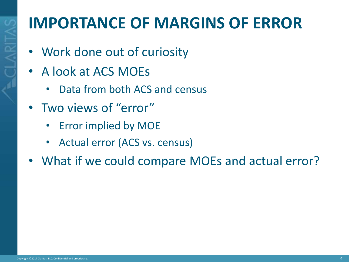### **IMPORTANCE OF MARGINS OF ERROR**

- Work done out of curiosity
- A look at ACS MOEs
	- Data from both ACS and census
- Two views of "error"
	- **Error implied by MOE**
	- Actual error (ACS vs. census)
- What if we could compare MOEs and actual error?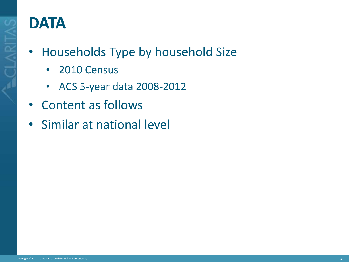

### **DATA**

- Households Type by household Size
	- 2010 Census
	- ACS 5-year data 2008-2012
- Content as follows
- Similar at national level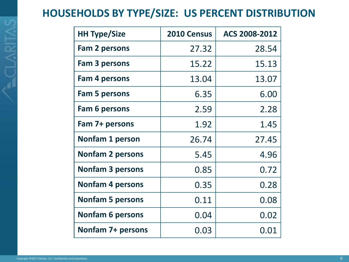#### **HOUSEHOLDS BY TYPE/SIZE: US PERCENT DISTRIBUTION**

| <b>HH Type/Size</b>     | 2010 Census | ACS 2008-2012 |
|-------------------------|-------------|---------------|
| <b>Fam 2 persons</b>    | 27.32       | 28.54         |
| Fam 3 persons           | 15.22       | 15.13         |
| Fam 4 persons           | 13.04       | 13.07         |
| <b>Fam 5 persons</b>    | 6.35        | 6.00          |
| <b>Fam 6 persons</b>    | 2.59        | 2.28          |
| Fam 7+ persons          | 1.92        | 1.45          |
| <b>Nonfam 1 person</b>  | 26.74       | 27.45         |
| <b>Nonfam 2 persons</b> | 5.45        | 4.96          |
| <b>Nonfam 3 persons</b> | 0.85        | 0.72          |
| <b>Nonfam 4 persons</b> | 0.35        | 0.28          |
| <b>Nonfam 5 persons</b> | 0.11        | 0.08          |
| <b>Nonfam 6 persons</b> | 0.04        | 0.02          |
| Nonfam 7+ persons       | 0.03        | 0.01          |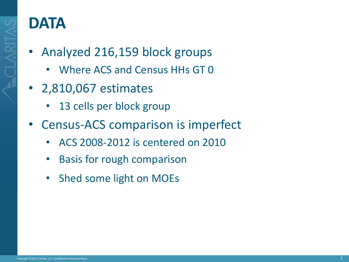

#### **DATA**

- Analyzed 216,159 block groups
	- Where ACS and Census HHs GT 0
- 2,810,067 estimates
	- 13 cells per block group
- Census-ACS comparison is imperfect
	- ACS 2008-2012 is centered on 2010
	- Basis for rough comparison
	- Shed some light on MOEs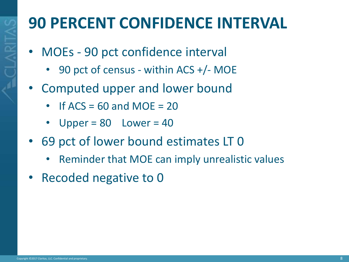# **90 PERCENT CONFIDENCE INTERVAL**

- MOEs 90 pct confidence interval
	- 90 pct of census within ACS +/- MOE
- Computed upper and lower bound
	- $\cdot$  If ACS = 60 and MOE = 20
	- Upper =  $80$  Lower =  $40$
- 69 pct of lower bound estimates LT 0
	- Reminder that MOE can imply unrealistic values
- Recoded negative to 0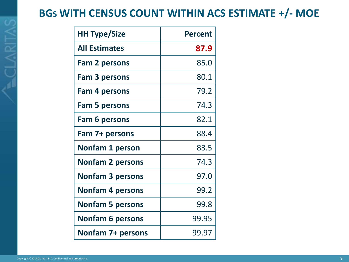#### **BGS WITH CENSUS COUNT WITHIN ACS ESTIMATE +/- MOE**

| <b>HH Type/Size</b>     | <b>Percent</b> |
|-------------------------|----------------|
| <b>All Estimates</b>    | 87.9           |
| <b>Fam 2 persons</b>    | 85.0           |
| <b>Fam 3 persons</b>    | 80.1           |
| Fam 4 persons           | 79.2           |
| <b>Fam 5 persons</b>    | 74.3           |
| Fam 6 persons           | 82.1           |
| Fam 7+ persons          | 88.4           |
| <b>Nonfam 1 person</b>  | 83.5           |
| <b>Nonfam 2 persons</b> | 74.3           |
| <b>Nonfam 3 persons</b> | 97.0           |
| <b>Nonfam 4 persons</b> | 99.2           |
| <b>Nonfam 5 persons</b> | 99.8           |
| <b>Nonfam 6 persons</b> | 99.95          |
| Nonfam 7+ persons       | 99.97          |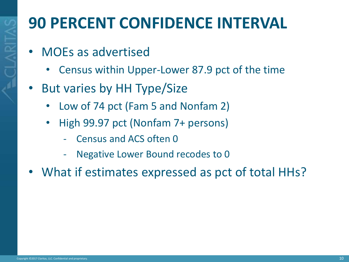# **90 PERCENT CONFIDENCE INTERVAL**

- MOEs as advertised
	- Census within Upper-Lower 87.9 pct of the time
- But varies by HH Type/Size
	- Low of 74 pct (Fam 5 and Nonfam 2)
	- High 99.97 pct (Nonfam 7+ persons)
		- Census and ACS often 0
		- Negative Lower Bound recodes to 0
- What if estimates expressed as pct of total HHs?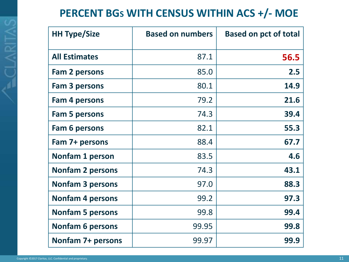#### **PERCENT BGS WITH CENSUS WITHIN ACS +/- MOE**

| <b>HH Type/Size</b>      | <b>Based on numbers</b> | <b>Based on pct of total</b> |
|--------------------------|-------------------------|------------------------------|
| <b>All Estimates</b>     | 87.1                    | 56.5                         |
| <b>Fam 2 persons</b>     | 85.0                    | 2.5                          |
| Fam 3 persons            | 80.1                    | 14.9                         |
| Fam 4 persons            | 79.2                    | 21.6                         |
| <b>Fam 5 persons</b>     | 74.3                    | 39.4                         |
| <b>Fam 6 persons</b>     | 82.1                    | 55.3                         |
| Fam 7+ persons           | 88.4                    | 67.7                         |
| <b>Nonfam 1 person</b>   | 83.5                    | 4.6                          |
| <b>Nonfam 2 persons</b>  | 74.3                    | 43.1                         |
| <b>Nonfam 3 persons</b>  | 97.0                    | 88.3                         |
| <b>Nonfam 4 persons</b>  | 99.2                    | 97.3                         |
| <b>Nonfam 5 persons</b>  | 99.8                    | 99.4                         |
| <b>Nonfam 6 persons</b>  | 99.95                   | 99.8                         |
| <b>Nonfam 7+ persons</b> | 99.97                   | 99.9                         |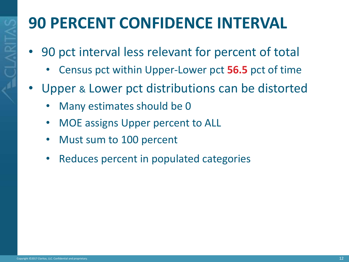# **90 PERCENT CONFIDENCE INTERVAL**

- 90 pct interval less relevant for percent of total
	- Census pct within Upper-Lower pct **56.5** pct of time
- Upper & Lower pct distributions can be distorted
	- Many estimates should be 0
	- MOE assigns Upper percent to ALL
	- Must sum to 100 percent
	- Reduces percent in populated categories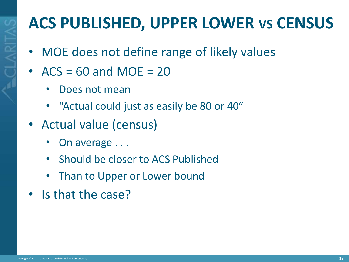# **ACS PUBLISHED, UPPER LOWER VS CENSUS**

- MOE does not define range of likely values
- $ACS = 60$  and  $MOE = 20$ 
	- Does not mean
	- "Actual could just as easily be 80 or 40"
- Actual value (census)
	- On average . . .
	- Should be closer to ACS Published
	- Than to Upper or Lower bound
- Is that the case?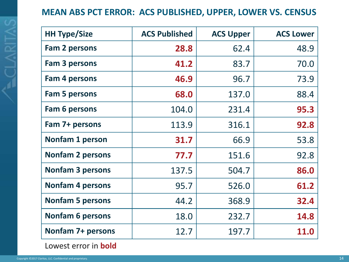#### **MEAN ABS PCT ERROR: ACS PUBLISHED, UPPER, LOWER VS. CENSUS**

| <b>HH Type/Size</b>      | <b>ACS Published</b> | <b>ACS Upper</b> | <b>ACS Lower</b> |
|--------------------------|----------------------|------------------|------------------|
| <b>Fam 2 persons</b>     | 28.8                 | 62.4             | 48.9             |
| Fam 3 persons            | 41.2                 | 83.7             | 70.0             |
| <b>Fam 4 persons</b>     | 46.9                 | 96.7             | 73.9             |
| <b>Fam 5 persons</b>     | 68.0                 | 137.0            | 88.4             |
| Fam 6 persons            | 104.0                | 231.4            | 95.3             |
| Fam 7+ persons           | 113.9                | 316.1            | 92.8             |
| Nonfam 1 person          | 31.7                 | 66.9             | 53.8             |
| <b>Nonfam 2 persons</b>  | 77.7                 | 151.6            | 92.8             |
| <b>Nonfam 3 persons</b>  | 137.5                | 504.7            | 86.0             |
| <b>Nonfam 4 persons</b>  | 95.7                 | 526.0            | 61.2             |
| <b>Nonfam 5 persons</b>  | 44.2                 | 368.9            | 32.4             |
| <b>Nonfam 6 persons</b>  | 18.0                 | 232.7            | 14.8             |
| <b>Nonfam 7+ persons</b> | 12.7                 | 197.7            | <b>11.0</b>      |

Lowest error in **bold**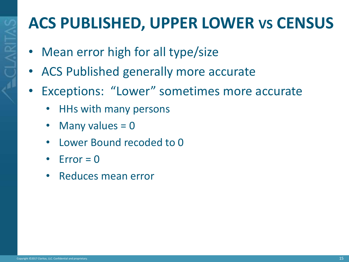# **ACS PUBLISHED, UPPER LOWER VS CENSUS**

- Mean error high for all type/size
- ACS Published generally more accurate
- Exceptions: "Lower" sometimes more accurate
	- HHs with many persons
	- Many values  $= 0$
	- Lower Bound recoded to 0
	- $Error = 0$
	- Reduces mean error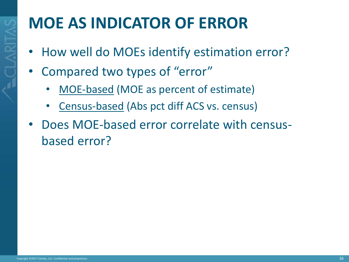# **MOE AS INDICATOR OF ERROR**

- How well do MOEs identify estimation error?
- Compared two types of "error"
	- MOE-based (MOE as percent of estimate)
	- Census-based (Abs pct diff ACS vs. census)
- Does MOE-based error correlate with censusbased error?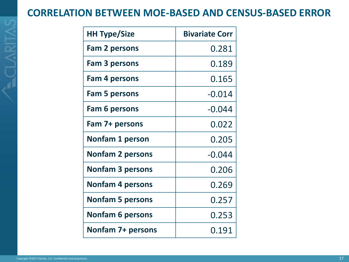#### **CORRELATION BETWEEN MOE-BASED AND CENSUS-BASED ERROR**

| <b>HH Type/Size</b>      | <b>Bivariate Corr</b> |
|--------------------------|-----------------------|
| <b>Fam 2 persons</b>     | 0.281                 |
| Fam 3 persons            | 0.189                 |
| Fam 4 persons            | 0.165                 |
| <b>Fam 5 persons</b>     | $-0.014$              |
| Fam 6 persons            | $-0.044$              |
| Fam 7+ persons           | 0.022                 |
| <b>Nonfam 1 person</b>   | 0.205                 |
| <b>Nonfam 2 persons</b>  | $-0.044$              |
| <b>Nonfam 3 persons</b>  | 0.206                 |
| <b>Nonfam 4 persons</b>  | 0.269                 |
| <b>Nonfam 5 persons</b>  | 0.257                 |
| <b>Nonfam 6 persons</b>  | 0.253                 |
| <b>Nonfam 7+ persons</b> | 0.191                 |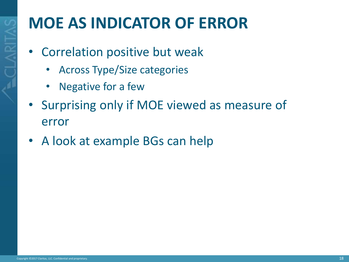# **MOE AS INDICATOR OF ERROR**

- Correlation positive but weak
	- Across Type/Size categories
	- Negative for a few
- Surprising only if MOE viewed as measure of error
- A look at example BGs can help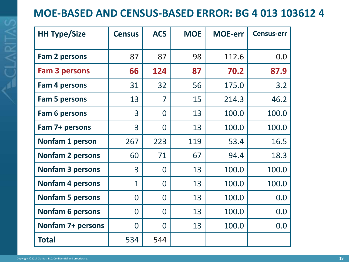#### **MOE-BASED AND CENSUS-BASED ERROR: BG 4 013 103612 4**

| <b>HH Type/Size</b>     | <b>Census</b>  | <b>ACS</b>     | <b>MOE</b> | <b>MOE-err</b> | <b>Census-err</b> |
|-------------------------|----------------|----------------|------------|----------------|-------------------|
| Fam 2 persons           | 87             | 87             | 98         | 112.6          | 0.0               |
| <b>Fam 3 persons</b>    | 66             | 124            | 87         | 70.2           | 87.9              |
| Fam 4 persons           | 31             | 32             | 56         | 175.0          | 3.2               |
| <b>Fam 5 persons</b>    | 13             | 7              | 15         | 214.3          | 46.2              |
| Fam 6 persons           | 3              | $\Omega$       | 13         | 100.0          | 100.0             |
| Fam 7+ persons          | 3              | $\overline{0}$ | 13         | 100.0          | 100.0             |
| <b>Nonfam 1 person</b>  | 267            | 223            | 119        | 53.4           | 16.5              |
| <b>Nonfam 2 persons</b> | 60             | 71             | 67         | 94.4           | 18.3              |
| <b>Nonfam 3 persons</b> | $\overline{3}$ | $\Omega$       | 13         | 100.0          | 100.0             |
| <b>Nonfam 4 persons</b> | 1              | $\Omega$       | 13         | 100.0          | 100.0             |
| <b>Nonfam 5 persons</b> | $\Omega$       | $\overline{0}$ | 13         | 100.0          | 0.0               |
| <b>Nonfam 6 persons</b> | $\Omega$       | $\overline{0}$ | 13         | 100.0          | 0.0               |
| Nonfam 7+ persons       | $\Omega$       | $\Omega$       | 13         | 100.0          | 0.0               |
| <b>Total</b>            | 534            | 544            |            |                |                   |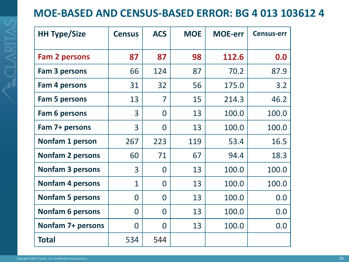#### **MOE-BASED AND CENSUS-BASED ERROR: BG 4 013 103612 4**

| <b>HH Type/Size</b>     | <b>Census</b>  | <b>ACS</b> | <b>MOE</b> | <b>MOE-err</b> | <b>Census-err</b> |
|-------------------------|----------------|------------|------------|----------------|-------------------|
| <b>Fam 2 persons</b>    | 87             | 87         | 98         | 112.6          | 0.0               |
| <b>Fam 3 persons</b>    | 66             | 124        | 87         | 70.2           | 87.9              |
| <b>Fam 4 persons</b>    | 31             | 32         | 56         | 175.0          | 3.2               |
| <b>Fam 5 persons</b>    | 13             | 7          | 15         | 214.3          | 46.2              |
| Fam 6 persons           | 3              | $\Omega$   | 13         | 100.0          | 100.0             |
| Fam 7+ persons          | 3              | $\Omega$   | 13         | 100.0          | 100.0             |
| <b>Nonfam 1 person</b>  | 267            | 223        | 119        | 53.4           | 16.5              |
| <b>Nonfam 2 persons</b> | 60             | 71         | 67         | 94.4           | 18.3              |
| <b>Nonfam 3 persons</b> | 3              | $\Omega$   | 13         | 100.0          | 100.0             |
| <b>Nonfam 4 persons</b> | $\mathbf{1}$   | $\Omega$   | 13         | 100.0          | 100.0             |
| <b>Nonfam 5 persons</b> | $\overline{0}$ | $\Omega$   | 13         | 100.0          | 0.0               |
| <b>Nonfam 6 persons</b> | $\overline{0}$ | $\Omega$   | 13         | 100.0          | 0.0               |
| Nonfam 7+ persons       | 0              | $\Omega$   | 13         | 100.0          | 0.0               |
| <b>Total</b>            | 534            | 544        |            |                |                   |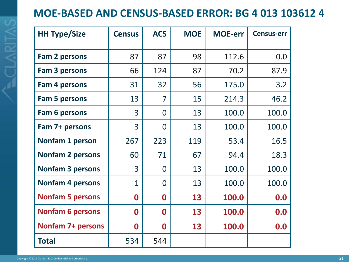#### **MOE-BASED AND CENSUS-BASED ERROR: BG 4 013 103612 4**

| <b>HH Type/Size</b>      | <b>Census</b> | <b>ACS</b>       | <b>MOE</b> | <b>MOE-err</b> | <b>Census-err</b> |
|--------------------------|---------------|------------------|------------|----------------|-------------------|
| <b>Fam 2 persons</b>     | 87            | 87               | 98         | 112.6          | 0.0               |
| <b>Fam 3 persons</b>     | 66            | 124              | 87         | 70.2           | 87.9              |
| Fam 4 persons            | 31            | 32               | 56         | 175.0          | 3.2               |
| <b>Fam 5 persons</b>     | 13            | 7                | 15         | 214.3          | 46.2              |
| Fam 6 persons            | 3             | $\Omega$         | 13         | 100.0          | 100.0             |
| Fam 7+ persons           | 3             | $\overline{0}$   | 13         | 100.0          | 100.0             |
| Nonfam 1 person          | 267           | 223              | 119        | 53.4           | 16.5              |
| <b>Nonfam 2 persons</b>  | 60            | 71               | 67         | 94.4           | 18.3              |
| <b>Nonfam 3 persons</b>  | 3             | $\Omega$         | 13         | 100.0          | 100.0             |
| <b>Nonfam 4 persons</b>  | 1             | $\Omega$         | 13         | 100.0          | 100.0             |
| <b>Nonfam 5 persons</b>  | 0             | 0                | 13         | 100.0          | 0.0               |
| <b>Nonfam 6 persons</b>  | 0             | $\boldsymbol{0}$ | 13         | 100.0          | 0.0               |
| <b>Nonfam 7+ persons</b> | 0             | $\boldsymbol{0}$ | 13         | 100.0          | 0.0               |
| <b>Total</b>             | 534           | 544              |            |                |                   |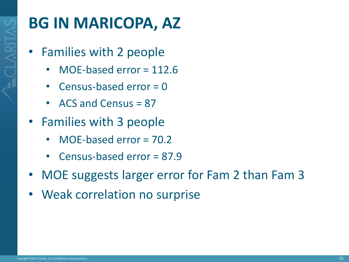

### **BG IN MARICOPA, AZ**

- Families with 2 people
	- MOE-based error = 112.6
	- Census-based error = 0
	- ACS and Census = 87
- Families with 3 people
	- MOE-based error = 70.2
	- Census-based error = 87.9
- MOE suggests larger error for Fam 2 than Fam 3
- Weak correlation no surprise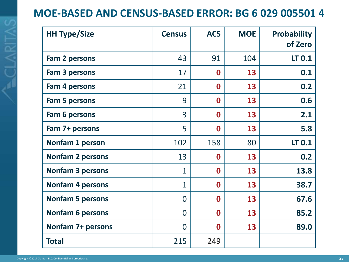#### **MOE-BASED AND CENSUS-BASED ERROR: BG 6 029 005501 4**

| <b>HH Type/Size</b>      | <b>Census</b>  | <b>ACS</b>       | <b>MOE</b> | <b>Probability</b><br>of Zero |
|--------------------------|----------------|------------------|------------|-------------------------------|
| Fam 2 persons            | 43             | 91               | 104        | LT 0.1                        |
| Fam 3 persons            | 17             | $\bf{0}$         | 13         | 0.1                           |
| Fam 4 persons            | 21             | $\boldsymbol{0}$ | 13         | 0.2                           |
| <b>Fam 5 persons</b>     | 9              | $\mathbf 0$      | 13         | 0.6                           |
| <b>Fam 6 persons</b>     | 3              | $\bf{0}$         | 13         | 2.1                           |
| Fam 7+ persons           | 5              | $\boldsymbol{0}$ | 13         | 5.8                           |
| Nonfam 1 person          | 102            | 158              | 80         | LT 0.1                        |
| <b>Nonfam 2 persons</b>  | 13             | $\bf{0}$         | 13         | 0.2                           |
| <b>Nonfam 3 persons</b>  | $\mathbf{1}$   | $\bf{0}$         | 13         | 13.8                          |
| <b>Nonfam 4 persons</b>  | $\mathbf{1}$   | $\mathbf 0$      | 13         | 38.7                          |
| <b>Nonfam 5 persons</b>  | $\overline{0}$ | $\bf{0}$         | 13         | 67.6                          |
| <b>Nonfam 6 persons</b>  | $\Omega$       | $\mathbf 0$      | 13         | 85.2                          |
| <b>Nonfam 7+ persons</b> | $\overline{0}$ | $\bf{0}$         | 13         | 89.0                          |
| <b>Total</b>             | 215            | 249              |            |                               |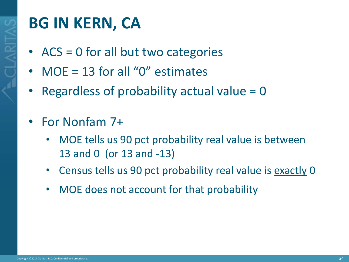

### **BG IN KERN, CA**

- ACS = 0 for all but two categories
- $MOE = 13$  for all "0" estimates
- Regardless of probability actual value = 0
- For Nonfam 7+
	- MOE tells us 90 pct probability real value is between 13 and 0 (or 13 and -13)
	- Census tells us 90 pct probability real value is exactly 0
	- MOE does not account for that probability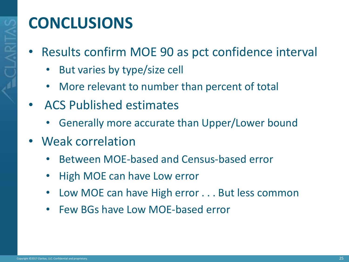### **CONCLUSIONS**

- Results confirm MOE 90 as pct confidence interval
	- But varies by type/size cell
	- More relevant to number than percent of total
- ACS Published estimates
	- Generally more accurate than Upper/Lower bound
- Weak correlation
	- Between MOE-based and Census-based error
	- High MOE can have Low error
	- Low MOE can have High error . . . But less common
	- Few BGs have Low MOE-based error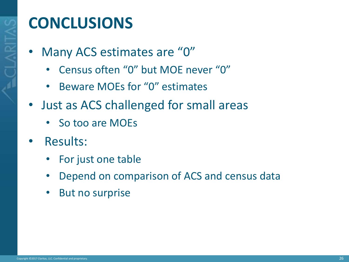

#### **CONCLUSIONS**

- Many ACS estimates are "0"
	- Census often "0" but MOE never "0"
	- Beware MOEs for "0" estimates
- Just as ACS challenged for small areas
	- So too are MOEs
- Results:
	- For just one table
	- Depend on comparison of ACS and census data
	- But no surprise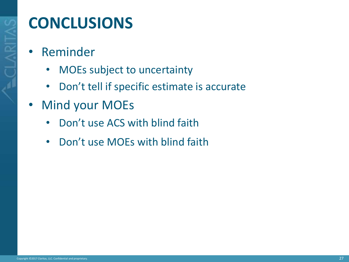### **CONCLUSIONS**

- Reminder
	- MOEs subject to uncertainty
	- Don't tell if specific estimate is accurate
- Mind your MOEs
	- Don't use ACS with blind faith
	- Don't use MOEs with blind faith